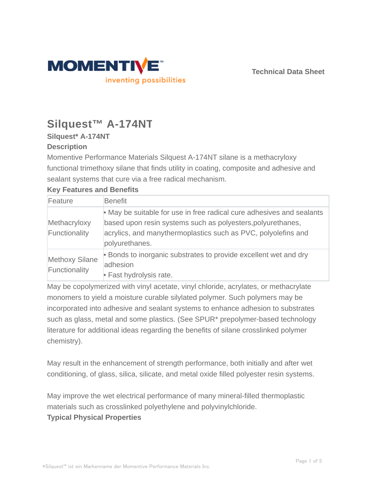



# **Silquest™ A-174NT**

# **Silquest\* A-174NT**

## **Description**

Momentive Performance Materials Silquest A-174NT silane is a methacryloxy functional trimethoxy silane that finds utility in coating, composite and adhesive and sealant systems that cure via a free radical mechanism.

## **Key Features and Benefits**

| Feature                                | <b>Benefit</b>                                                                                                                                                                                                          |
|----------------------------------------|-------------------------------------------------------------------------------------------------------------------------------------------------------------------------------------------------------------------------|
| Methacryloxy<br>Functionality          | • May be suitable for use in free radical cure adhesives and sealants<br>based upon resin systems such as polyesters, polyurethanes,<br>acrylics, and manythermoplastics such as PVC, polyolefins and<br>polyurethanes. |
| <b>Methoxy Silane</b><br>Functionality | • Bonds to inorganic substrates to provide excellent wet and dry<br>adhesion<br>• Fast hydrolysis rate.                                                                                                                 |

May be copolymerized with vinyl acetate, vinyl chloride, acrylates, or methacrylate monomers to yield a moisture curable silylated polymer. Such polymers may be incorporated into adhesive and sealant systems to enhance adhesion to substrates such as glass, metal and some plastics. (See SPUR\* prepolymer-based technology literature for additional ideas regarding the benefits of silane crosslinked polymer chemistry).

May result in the enhancement of strength performance, both initially and after wet conditioning, of glass, silica, silicate, and metal oxide filled polyester resin systems.

May improve the wet electrical performance of many mineral-filled thermoplastic materials such as crosslinked polyethylene and polyvinylchloride. **Typical Physical Properties**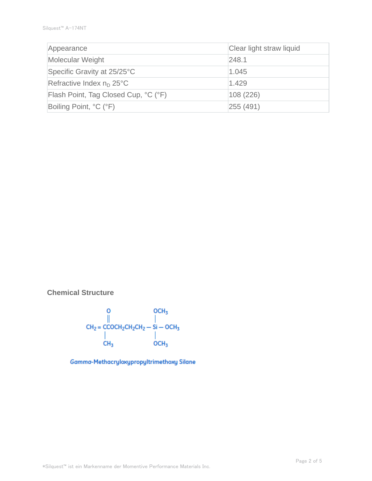| Appearance                           | Clear light straw liquid |
|--------------------------------------|--------------------------|
| Molecular Weight                     | 248.1                    |
| Specific Gravity at 25/25°C          | 1.045                    |
| Refractive Index $n_D$ 25°C          | 1.429                    |
| Flash Point, Tag Closed Cup, °C (°F) | 108 (226)                |
| Boiling Point, °C (°F)               | 255(491)                 |

**Chemical Structure**



**Gamma-Methacryloxypropyltrimethoxy Silane**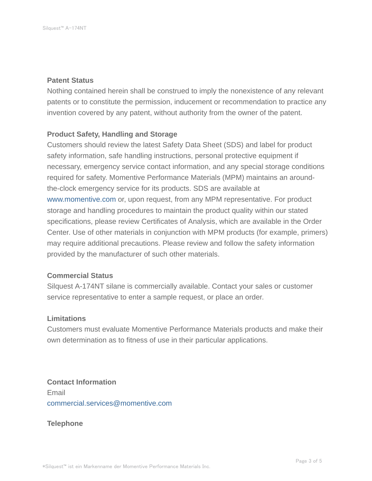#### **Patent Status**

Nothing contained herein shall be construed to imply the nonexistence of any relevant patents or to constitute the permission, inducement or recommendation to practice any invention covered by any patent, without authority from the owner of the patent.

## **Product Safety, Handling and Storage**

Customers should review the latest Safety Data Sheet (SDS) and label for product safety information, safe handling instructions, personal protective equipment if necessary, emergency service contact information, and any special storage conditions required for safety. Momentive Performance Materials (MPM) maintains an aroundthe-clock emergency service for its products. SDS are available at www.momentive.com or, upon request, from any MPM representative. For product storage and handling procedures to maintain the product quality within our stated specifications, please review Certificates of Analysis, which are available in the Order Center. Use of other materials in conjunction with MPM products (for example, primers) may require additional precautions. Please review and follow the safety information provided by the manufacturer of such other materials.

### **Commercial Status**

Silquest A-174NT silane is commercially available. Contact your sales or customer service representative to enter a sample request, or place an order.

#### **Limitations**

Customers must evaluate Momentive Performance Materials products and make their own determination as to fitness of use in their particular applications.

**Contact Information** Email commercial.services@momentive.com

### **Telephone**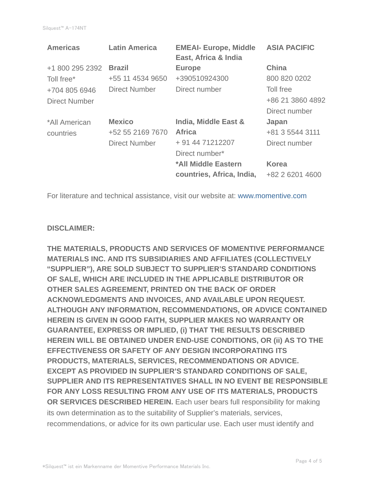| <b>Latin America</b> | <b>EMEAI- Europe, Middle</b><br>East, Africa & India | <b>ASIA PACIFIC</b> |
|----------------------|------------------------------------------------------|---------------------|
| <b>Brazil</b>        | <b>Europe</b>                                        | <b>China</b>        |
| +55 11 4534 9650     | +390510924300                                        | 800 820 0202        |
| Direct Number        | Direct number                                        | Toll free           |
|                      |                                                      | +86 21 3860 4892    |
|                      |                                                      | Direct number       |
| <b>Mexico</b>        | India, Middle East &                                 | Japan               |
| +52 55 2169 7670     | <b>Africa</b>                                        | +81 3 5544 3111     |
| <b>Direct Number</b> | + 91 44 71212207                                     | Direct number       |
|                      | Direct number*                                       |                     |
|                      | *All Middle Eastern                                  | <b>Korea</b>        |
|                      | countries, Africa, India,                            | +82 2 6201 4600     |
|                      |                                                      |                     |

For literature and technical assistance, visit our website at: www.momentive.com

#### **DISCLAIMER:**

**THE MATERIALS, PRODUCTS AND SERVICES OF MOMENTIVE PERFORMANCE MATERIALS INC. AND ITS SUBSIDIARIES AND AFFILIATES (COLLECTIVELY "SUPPLIER"), ARE SOLD SUBJECT TO SUPPLIER'S STANDARD CONDITIONS OF SALE, WHICH ARE INCLUDED IN THE APPLICABLE DISTRIBUTOR OR OTHER SALES AGREEMENT, PRINTED ON THE BACK OF ORDER ACKNOWLEDGMENTS AND INVOICES, AND AVAILABLE UPON REQUEST. ALTHOUGH ANY INFORMATION, RECOMMENDATIONS, OR ADVICE CONTAINED HEREIN IS GIVEN IN GOOD FAITH, SUPPLIER MAKES NO WARRANTY OR GUARANTEE, EXPRESS OR IMPLIED, (i) THAT THE RESULTS DESCRIBED HEREIN WILL BE OBTAINED UNDER END-USE CONDITIONS, OR (ii) AS TO THE EFFECTIVENESS OR SAFETY OF ANY DESIGN INCORPORATING ITS PRODUCTS, MATERIALS, SERVICES, RECOMMENDATIONS OR ADVICE. EXCEPT AS PROVIDED IN SUPPLIER'S STANDARD CONDITIONS OF SALE, SUPPLIER AND ITS REPRESENTATIVES SHALL IN NO EVENT BE RESPONSIBLE FOR ANY LOSS RESULTING FROM ANY USE OF ITS MATERIALS, PRODUCTS OR SERVICES DESCRIBED HEREIN.** Each user bears full responsibility for making its own determination as to the suitability of Supplier's materials, services, recommendations, or advice for its own particular use. Each user must identify and